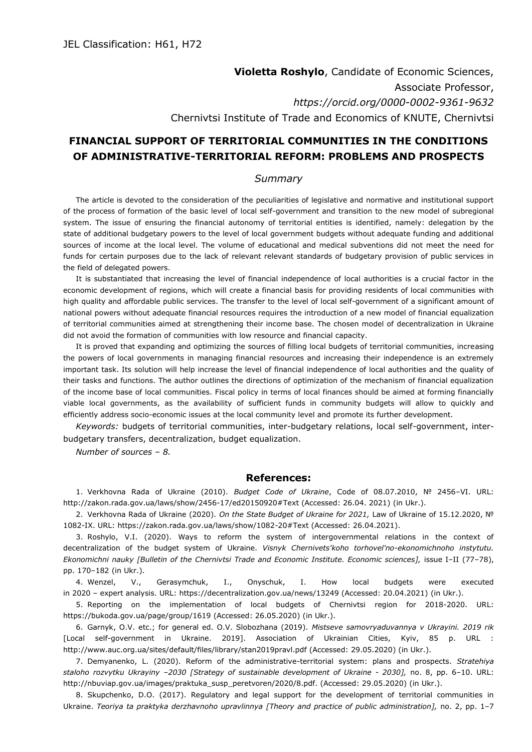## **Violetta Roshylo**, Candidate of Economic Sciences, Associate Professor, *https://orcid.org/0000-0002-9361-9632* Chernivtsi Institute of Trade and Economics of KNUTE, Chernivtsi

## **FINANCIAL SUPPORT OF TERRITORIAL COMMUNITIES IN THE CONDITIONS OF ADMINISTRATIVE-TERRITORIAL REFORM: PROBLEMS AND PROSPECTS**

## *Summary*

The article is devoted to the consideration of the peculiarities of legislative and normative and institutional support of the process of formation of the basic level of local self-government and transition to the new model of subregional system. The issue of ensuring the financial autonomy of territorial entities is identified, namely: delegation by the state of additional budgetary powers to the level of local government budgets without adequate funding and additional sources of income at the local level. The volume of educational and medical subventions did not meet the need for funds for certain purposes due to the lack of relevant relevant standards of budgetary provision of public services in the field of delegated powers.

It is substantiated that increasing the level of financial independence of local authorities is a crucial factor in the economic development of regions, which will create a financial basis for providing residents of local communities with high quality and affordable public services. The transfer to the level of local self-government of a significant amount of national powers without adequate financial resources requires the introduction of a new model of financial equalization of territorial communities aimed at strengthening their income base. The chosen model of decentralization in Ukraine did not avoid the formation of communities with low resource and financial capacity.

It is proved that expanding and optimizing the sources of filling local budgets of territorial communities, increasing the powers of local governments in managing financial resources and increasing their independence is an extremely important task. Its solution will help increase the level of financial independence of local authorities and the quality of their tasks and functions. The author outlines the directions of optimization of the mechanism of financial equalization of the income base of local communities. Fiscal policy in terms of local finances should be aimed at forming financially viable local governments, as the availability of sufficient funds in community budgets will allow to quickly and efficiently address socio-economic issues at the local community level and promote its further development.

*Keywords:* budgets of territorial communities, inter-budgetary relations, local self-government, interbudgetary transfers, decentralization, budget equalization.

*Number of sources – 8.*

## **References:**

1. Verkhovna Rada of Ukraine (2010). *Budget Code of Ukraine*, Code of 08.07.2010, № 2456–VI. URL: http://zakon.rada.gov.ua/laws/show/2456-17/ed20150920#Text (Accessed: 26.04. 2021) (in Ukr.).

2. Verkhovna Rada of Ukraine (2020). *On the State Budget of Ukraine for 2021,* Law of Ukraine of 15.12.2020, № 1082-IX. URL: https://zakon.rada.gov.ua/laws/show/1082-20#Text (Accessed: 26.04.2021).

3. Roshylo, V.I. (2020). Ways to reform the system of intergovernmental relations in the context of decentralization of the budget system of Ukraine. *Visnyk Chernivets'koho torhovel'no-ekonomichnoho instytutu. Ekonomichni nauky [Bulletin of the Chernivtsi Trade and Economic Institute. Economic sciences],* issue I–II (77–78), pp. 170–182 (in Ukr.).

4. Wenzel, V., Gerasymchuk, I., Onyschuk, I. How local budgets were executed in 2020 – expert analysis. URL: https://decentralization.gov.ua/news/13249 (Accessed: 20.04.2021) (in Ukr.).

5. Reporting on the implementation of local budgets of Chernivtsi region for 2018-2020. URL: https://bukoda.gov.ua/page/group/1619 (Accessed: 26.05.2020) (in Ukr.).

6. Garnyk, O.V. etc.; for general ed. O.V. Slobozhana (2019). *Mistseve samovryaduvannya v Ukrayini. 2019 rik*  [Local self-government in Ukraine. 2019]. Association of Ukrainian Cities, Kyiv, 85 p. URL : http://www.auc.org.ua/sites/default/files/library/stan2019pravl.pdf (Accessed: 29.05.2020) (in Ukr.).

7. Demyanenko, L. (2020). Reform of the administrative-territorial system: plans and prospects. *Stratehiya staloho rozvytku Ukrayiny –2030 [Strategy of sustainable development of Ukraine - 2030],* no. 8, pp. 6–10. URL: http://nbuviap.gov.ua/images/praktuka\_susp\_peretvoren/2020/8.pdf. (Accessed: 29.05.2020) (in Ukr.).

8. Skupchenko, D.O. (2017). Regulatory and legal support for the development of territorial communities in Ukraine. *Teoriya ta praktyka derzhavnoho upravlinnya [Theory and practice of public administration],* no. 2, pp. 1–7